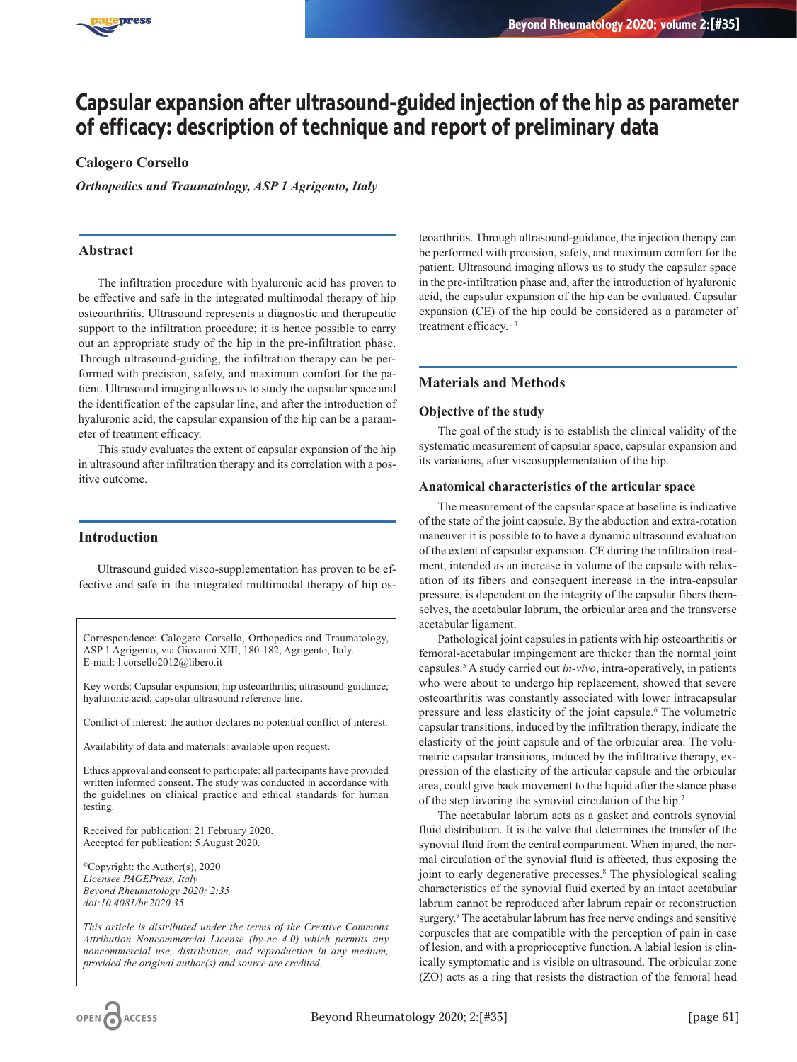

# **Capsular expansion after ultrasound-guided injection of the hip as parameter of efficacy: description of technique and report of preliminary data**

# **Calogero Corsello**

*Orthopedics and Traumatology, ASP 1 Agrigento, Italy*

## **Abstract**

The infiltration procedure with hyaluronic acid has proven to be effective and safe in the integrated multimodal therapy of hip osteoarthritis. Ultrasound represents a diagnostic and therapeutic support to the infiltration procedure; it is hence possible to carry out an appropriate study of the hip in the pre-infiltration phase. Through ultrasound-guiding, the infiltration therapy can be performed with precision, safety, and maximum comfort for the patient. Ultrasound imaging allows us to study the capsular space and the identification of the capsular line, and after the introduction of hyaluronic acid, the capsular expansion of the hip can be a parameter of treatment efficacy.

This study evaluates the extent of capsular expansion of the hip in ultrasound after infiltration therapy and its correlation with a positive outcome.

# **Introduction**

Ultrasound guided visco-supplementation has proven to be effective and safe in the integrated multimodal therapy of hip os-

Correspondence: Calogero Corsello, Orthopedics and Traumatology, ASP 1 Agrigento, via Giovanni XIII, 180-182, Agrigento, Italy. E-mail: l.corsello2012@libero.it

Key words: Capsular expansion; hip osteoarthritis; ultrasound-guidance; hyaluronic acid; capsular ultrasound reference line.

Conflict of interest: the author declares no potential conflict of interest.

Availability of data and materials: available upon request.

Ethics approval and consent to participate: all partecipants have provided written informed consent. The study was conducted in accordance with the guidelines on clinical practice and ethical standards for human testing.

Received for publication: 21 February 2020. Accepted for publication: 5 August 2020.

©Copyright: the Author(s), 2020 *Licensee PAGEPress, Italy Beyond Rheumatology 2020; 2:35 doi:10.4081/br.2020.35*

*This article is distributed under the terms of the Creative Commons Attribution Noncommercial License (by-nc 4.0) which permits any noncommercial use, distribution, and reproduction in any medium, provided the original author(s) and source are credited.*

teoarthritis. Through ultrasound-guidance, the injection therapy can be performed with precision, safety, and maximum comfort for the patient. Ultrasound imaging allows us to study the capsular space in the pre-infiltration phase and, after the introduction of hyaluronic acid, the capsular expansion of the hip can be evaluated. Capsular expansion (CE) of the hip could be considered as a parameter of treatment efficacy.1-4

## **Materials and Methods**

#### **Objective of the study**

The goal of the study is to establish the clinical validity of the systematic measurement of capsular space, capsular expansion and its variations, after viscosupplementation of the hip.

#### **Anatomical characteristics of the articular space**

The measurement of the capsular space at baseline is indicative of the state of the joint capsule. By the abduction and extra-rotation maneuver it is possible to to have a dynamic ultrasound evaluation of the extent of capsular expansion. CE during the infiltration treatment, intended as an increase in volume of the capsule with relaxation of its fibers and consequent increase in the intra-capsular pressure, is dependent on the integrity of the capsular fibers themselves, the acetabular labrum, the orbicular area and the transverse acetabular ligament.

Pathological joint capsules in patients with hip osteoarthritis or femoral-acetabular impingement are thicker than the normal joint capsules.5 A study carried out *in-vivo*, intra-operatively, in patients who were about to undergo hip replacement, showed that severe osteoarthritis was constantly associated with lower intracapsular pressure and less elasticity of the joint capsule.6 The volumetric capsular transitions, induced by the infiltration therapy, indicate the elasticity of the joint capsule and of the orbicular area. The volumetric capsular transitions, induced by the infiltrative therapy, expression of the elasticity of the articular capsule and the orbicular area, could give back movement to the liquid after the stance phase of the step favoring the synovial circulation of the hip.7

The acetabular labrum acts as a gasket and controls synovial fluid distribution. It is the valve that determines the transfer of the synovial fluid from the central compartment. When injured, the normal circulation of the synovial fluid is affected, thus exposing the joint to early degenerative processes.<sup>8</sup> The physiological sealing characteristics of the synovial fluid exerted by an intact acetabular labrum cannot be reproduced after labrum repair or reconstruction surgery.<sup>9</sup> The acetabular labrum has free nerve endings and sensitive corpuscles that are compatible with the perception of pain in case of lesion, and with a proprioceptive function. A labial lesion is clinically symptomatic and is visible on ultrasound. The orbicular zone (ZO) acts as a ring that resists the distraction of the femoral head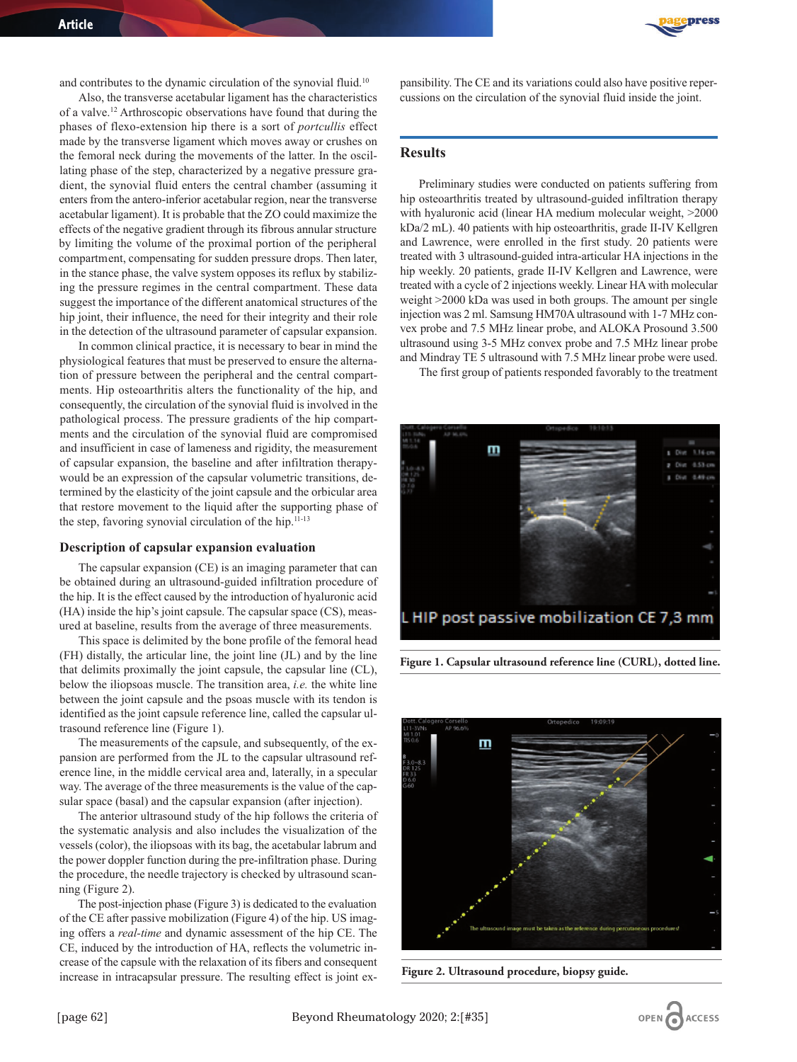and contributes to the dynamic circulation of the synovial fluid.<sup>10</sup>

Also, the transverse acetabular ligament has the characteristics of a valve.12 Arthroscopic observations have found that during the phases of flexo-extension hip there is a sort of *portcullis* effect made by the transverse ligament which moves away or crushes on the femoral neck during the movements of the latter. In the oscillating phase of the step, characterized by a negative pressure gradient, the synovial fluid enters the central chamber (assuming it enters from the antero-inferior acetabular region, near the transverse acetabular ligament). It is probable that the ZO could maximize the effects of the negative gradient through its fibrous annular structure by limiting the volume of the proximal portion of the peripheral compartment, compensating for sudden pressure drops. Then later, in the stance phase, the valve system opposes its reflux by stabilizing the pressure regimes in the central compartment. These data suggest the importance of the different anatomical structures of the hip joint, their influence, the need for their integrity and their role in the detection of the ultrasound parameter of capsular expansion.

In common clinical practice, it is necessary to bear in mind the physiological features that must be preserved to ensure the alternation of pressure between the peripheral and the central compartments. Hip osteoarthritis alters the functionality of the hip, and consequently, the circulation of the synovial fluid is involved in the pathological process. The pressure gradients of the hip compartments and the circulation of the synovial fluid are compromised and insufficient in case of lameness and rigidity, the measurement of capsular expansion, the baseline and after infiltration therapywould be an expression of the capsular volumetric transitions, determined by the elasticity of the joint capsule and the orbicular area that restore movement to the liquid after the supporting phase of the step, favoring synovial circulation of the hip.<sup>11-13</sup>

#### **Description of capsular expansion evaluation**

The capsular expansion (CE) is an imaging parameter that can be obtained during an ultrasound-guided infiltration procedure of the hip. It is the effect caused by the introduction of hyaluronic acid (HA) inside the hip's joint capsule. The capsular space (CS), measured at baseline, results from the average of three measurements.

This space is delimited by the bone profile of the femoral head (FH) distally, the articular line, the joint line (JL) and by the line that delimits proximally the joint capsule, the capsular line (CL), below the iliopsoas muscle. The transition area, *i.e.* the white line between the joint capsule and the psoas muscle with its tendon is identified as the joint capsule reference line, called the capsular ultrasound reference line (Figure 1).

The measurements of the capsule, and subsequently, of the expansion are performed from the JL to the capsular ultrasound reference line, in the middle cervical area and, laterally, in a specular way. The average of the three measurements is the value of the capsular space (basal) and the capsular expansion (after injection).

The anterior ultrasound study of the hip follows the criteria of the systematic analysis and also includes the visualization of the vessels (color), the iliopsoas with its bag, the acetabular labrum and the power doppler function during the pre-infiltration phase. During the procedure, the needle trajectory is checked by ultrasound scanning (Figure 2).

The post-injection phase (Figure 3) is dedicated to the evaluation of the CE after passive mobilization (Figure 4) of the hip. US imaging offers a *real-time* and dynamic assessment of the hip CE. The CE, induced by the introduction of HA, reflects the volumetric increase of the capsule with the relaxation of its fibers and consequent increase in intracapsular pressure. The resulting effect is joint ex-



pansibility. The CE and its variations could also have positive repercussions on the circulation of the synovial fluid inside the joint.

## **Results**

Preliminary studies were conducted on patients suffering from hip osteoarthritis treated by ultrasound-guided infiltration therapy with hyaluronic acid (linear HA medium molecular weight, >2000 kDa/2 mL). 40 patients with hip osteoarthritis, grade II-IV Kellgren and Lawrence, were enrolled in the first study. 20 patients were treated with 3 ultrasound-guided intra-articular HA injections in the hip weekly. 20 patients, grade II-IV Kellgren and Lawrence, were treated with a cycle of 2 injections weekly. Linear HA with molecular weight >2000 kDa was used in both groups. The amount per single injection was 2 ml. Samsung HM70A ultrasound with 1-7 MHz convex probe and 7.5 MHz linear probe, and ALOKA Prosound 3.500 ultrasound using 3-5 MHz convex probe and 7.5 MHz linear probe and Mindray TE 5 ultrasound with 7.5 MHz linear probe were used.

The first group of patients responded favorably to the treatment



**Figure 1. Capsular ultrasound reference line (CURL), dotted line.**



**Figure 2. Ultrasound procedure, biopsy guide.**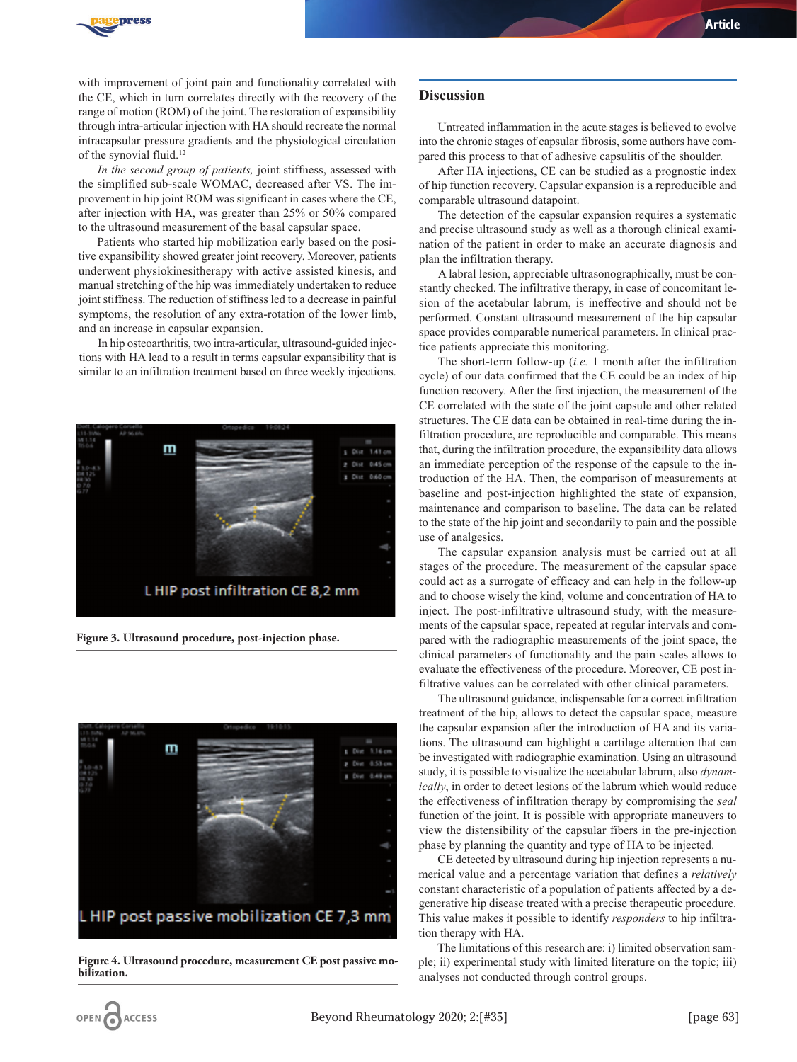

with improvement of joint pain and functionality correlated with the CE, which in turn correlates directly with the recovery of the range of motion (ROM) of the joint. The restoration of expansibility through intra-articular injection with HA should recreate the normal intracapsular pressure gradients and the physiological circulation of the synovial fluid.12

*In the second group of patients,* joint stiffness, assessed with the simplified sub-scale WOMAC, decreased after VS. The improvement in hip joint ROM was significant in cases where the CE, after injection with HA, was greater than 25% or 50% compared to the ultrasound measurement of the basal capsular space.

Patients who started hip mobilization early based on the positive expansibility showed greater joint recovery. Moreover, patients underwent physiokinesitherapy with active assisted kinesis, and manual stretching of the hip was immediately undertaken to reduce joint stiffness. The reduction of stiffness led to a decrease in painful symptoms, the resolution of any extra-rotation of the lower limb, and an increase in capsular expansion.

In hip osteoarthritis, two intra-articular, ultrasound-guided injections with HA lead to a result in terms capsular expansibility that is similar to an infiltration treatment based on three weekly injections.



**Figure 3. Ultrasound procedure, post-injection phase.**



**Figure 4. Ultrasound procedure, measurement CE post passive mobilization.**

#### **Discussion**

Untreated inflammation in the acute stages is believed to evolve into the chronic stages of capsular fibrosis, some authors have compared this process to that of adhesive capsulitis of the shoulder.

After HA injections, CE can be studied as a prognostic index of hip function recovery. Capsular expansion is a reproducible and comparable ultrasound datapoint.

The detection of the capsular expansion requires a systematic and precise ultrasound study as well as a thorough clinical examination of the patient in order to make an accurate diagnosis and plan the infiltration therapy.

A labral lesion, appreciable ultrasonographically, must be constantly checked. The infiltrative therapy, in case of concomitant lesion of the acetabular labrum, is ineffective and should not be performed. Constant ultrasound measurement of the hip capsular space provides comparable numerical parameters. In clinical practice patients appreciate this monitoring.

The short-term follow-up (*i.e.* 1 month after the infiltration cycle) of our data confirmed that the CE could be an index of hip function recovery. After the first injection, the measurement of the CE correlated with the state of the joint capsule and other related structures. The CE data can be obtained in real-time during the infiltration procedure, are reproducible and comparable. This means that, during the infiltration procedure, the expansibility data allows an immediate perception of the response of the capsule to the introduction of the HA. Then, the comparison of measurements at baseline and post-injection highlighted the state of expansion, maintenance and comparison to baseline. The data can be related to the state of the hip joint and secondarily to pain and the possible use of analgesics.

The capsular expansion analysis must be carried out at all stages of the procedure. The measurement of the capsular space could act as a surrogate of efficacy and can help in the follow-up and to choose wisely the kind, volume and concentration of HA to inject. The post-infiltrative ultrasound study, with the measurements of the capsular space, repeated at regular intervals and compared with the radiographic measurements of the joint space, the clinical parameters of functionality and the pain scales allows to evaluate the effectiveness of the procedure. Moreover, CE post infiltrative values can be correlated with other clinical parameters.

The ultrasound guidance, indispensable for a correct infiltration treatment of the hip, allows to detect the capsular space, measure the capsular expansion after the introduction of HA and its variations. The ultrasound can highlight a cartilage alteration that can be investigated with radiographic examination. Using an ultrasound study, it is possible to visualize the acetabular labrum, also *dynamically*, in order to detect lesions of the labrum which would reduce the effectiveness of infiltration therapy by compromising the *seal* function of the joint. It is possible with appropriate maneuvers to view the distensibility of the capsular fibers in the pre-injection phase by planning the quantity and type of HA to be injected.

CE detected by ultrasound during hip injection represents a numerical value and a percentage variation that defines a *relatively* constant characteristic of a population of patients affected by a degenerative hip disease treated with a precise therapeutic procedure. This value makes it possible to identify *responders* to hip infiltration therapy with HA.

The limitations of this research are: i) limited observation sample; ii) experimental study with limited literature on the topic; iii) analyses not conducted through control groups.